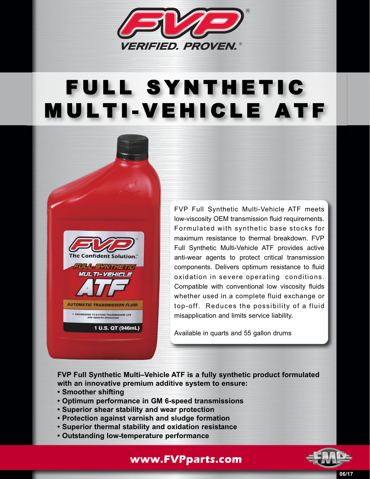

## FULL SYNTHETIC MULTI-VEHICLE ATF



FVP Full Synthetic Multi-Vehicle ATF meets low-viscosity OEM transmission fluid requirements. Formulated with synthetic base stocks for maximum resistance to thermal breakdown. FVP Full Synthetic Multi-Vehicle ATF provides active anti-wear agents to protect critical transmission components. Delivers optimum resistance to fluid oxidation in severe operating conditions. Compatible with conventional low viscosity fluids whether used in a complete fluid exchange or top-off. Reduces the possibility of a fluid misapplication and limits service liability.

Available in quarts and 55 gallon drums

**FVP Full Synthetic Multi–Vehicle ATF is a fully synthetic product formulated with an innovative premium additive system to ensure:**

- **Smoother shifting**
- **Optimum performance in GM 6-speed transmissions**
- **Superior shear stability and wear protection**
- **Protection against varnish and sludge formation**
- **Superior thermal stability and oxidation resistance**
- **Outstanding low-temperature performance**